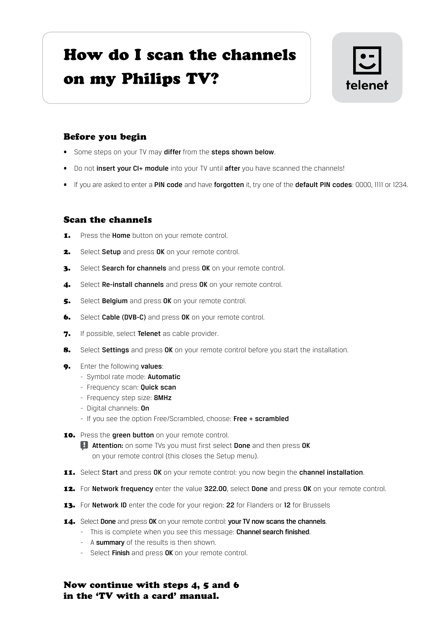## How do I scan the channels on my Philips TV?



## Before you begin

- Some steps on your TV may differ from the steps shown below.
- Do not insert your CI+ module into your TV until after you have scanned the channels!
- If you are asked to enter a PIN code and have forgotten it, try one of the default PIN codes: 0000, 1111 or 1234.

## Scan the channels

- 1. Press the Home button on your remote control.
- 2. Select Setup and press OK on your remote control.
- 3. Select Search for channels and press OK on your remote control.
- 4. Select Re-install channels and press OK on your remote control.
- 5. Select Belgium and press OK on your remote control.
- **6.** Select Cable (DVB-C) and press OK on your remote control.
- 7. If possible, select Telenet as cable provider.
- 8. Select Settings and press OK on your remote control before you start the installation.
- 9. Enter the following values:
	- Symbol rate mode: Automatic
	- Frequency scan: **Quick scan**
	- Frequency step size: 8MHz
	- Digital channels: On
	- If you see the option Free/Scrambled, choose: Free + scrambled
- 10. Press the green button on your remote control.

**Attention:** on some TVs you must first select **Done** and then press OK on your remote control (this closes the Setup menu).

- 11. Select Start and press OK on your remote control: you now begin the channel installation.
- 12. For Network frequency enter the value 322.00, select Done and press OK on your remote control.
- 13. For Network ID enter the code for your region: 22 for Flanders or 12 for Brussels
- 14. Select Done and press OK on your remote control: your TV now scans the channels.
	- This is complete when you see this message: Channel search finished.
	- A summary of the results is then shown.
	- Select Finish and press OK on your remote control.

Now continue with steps 4, 5 and 6 in the 'TV with a card' manual.